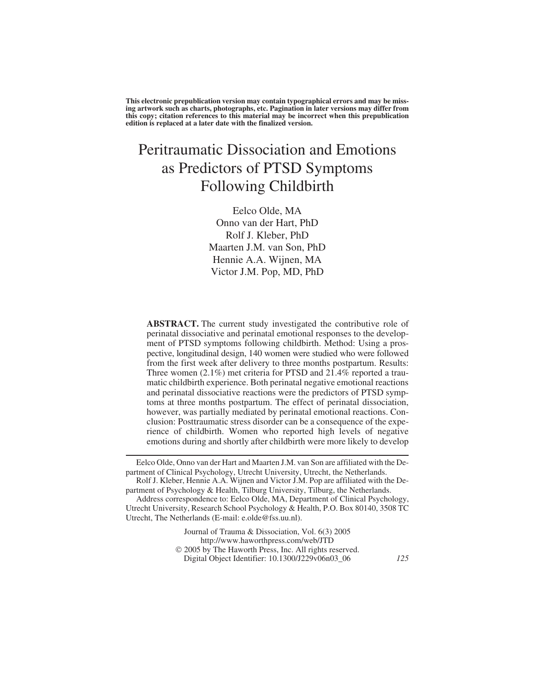**This electronic prepublication version may contain typographical errors and may be miss- ing artwork such as charts, photographs, etc. Pagination in later versions may differ from this copy; citation references to this material may be incorrect when this prepublication edition is replaced at a later date with the finalized version.**

# Peritraumatic Dissociation and Emotions as Predictors of PTSD Symptoms Following Childbirth

Eelco Olde, MA Onno van der Hart, PhD Rolf J. Kleber, PhD Maarten J.M. van Son, PhD Hennie A.A. Wijnen, MA Victor J.M. Pop, MD, PhD

**ABSTRACT.** The current study investigated the contributive role of perinatal dissociative and perinatal emotional responses to the development of PTSD symptoms following childbirth. Method: Using a prospective, longitudinal design, 140 women were studied who were followed from the first week after delivery to three months postpartum. Results: Three women (2.1%) met criteria for PTSD and 21.4% reported a traumatic childbirth experience. Both perinatal negative emotional reactions and perinatal dissociative reactions were the predictors of PTSD symptoms at three months postpartum. The effect of perinatal dissociation, however, was partially mediated by perinatal emotional reactions. Conclusion: Posttraumatic stress disorder can be a consequence of the experience of childbirth. Women who reported high levels of negative emotions during and shortly after childbirth were more likely to develop

Eelco Olde, Onno van der Hart and Maarten J.M. van Son are affiliated with the Department of Clinical Psychology, Utrecht University, Utrecht, the Netherlands.

Rolf J. Kleber, Hennie A.A. Wijnen and Victor J.M. Pop are affiliated with the Department of Psychology & Health, Tilburg University, Tilburg, the Netherlands.

Address correspondence to: Eelco Olde, MA, Department of Clinical Psychology, Utrecht University, Research School Psychology & Health, P.O. Box 80140, 3508 TC Utrecht, The Netherlands (E-mail: e.olde@fss.uu.nl).

Journal of Trauma & Dissociation, Vol. 6(3) 2005 http://www.haworthpress.com/web/JTD © 2005 by The Haworth Press, Inc. All rights reserved. Digital Object Identifier: 10.1300/J229v06n03\_06 *125*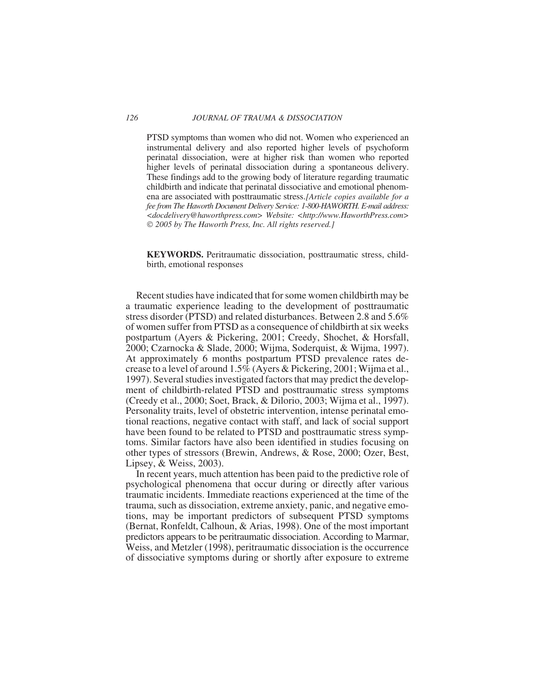PTSD symptoms than women who did not. Women who experienced an instrumental delivery and also reported higher levels of psychoform perinatal dissociation, were at higher risk than women who reported higher levels of perinatal dissociation during a spontaneous delivery. These findings add to the growing body of literature regarding traumatic childbirth and indicate that perinatal dissociative and emotional phenomena are associated with posttraumatic stress.*[Article copies available for a fee from The Haworth Document Delivery Service: 1-800-HAWORTH. E-mail address: <docdelivery@haworthpress.com> Website: <http://www.HaworthPress.com>* © *2005 by The Haworth Press, Inc. All rights reserved.]*

**KEYWORDS.** Peritraumatic dissociation, posttraumatic stress, childbirth, emotional responses

Recent studies have indicated that for some women childbirth may be a traumatic experience leading to the development of posttraumatic stress disorder (PTSD) and related disturbances. Between 2.8 and 5.6% of women suffer from PTSD as a consequence of childbirth at six weeks postpartum (Ayers & Pickering, 2001; Creedy, Shochet, & Horsfall, 2000; Czarnocka & Slade, 2000; Wijma, Soderquist, & Wijma, 1997). At approximately 6 months postpartum PTSD prevalence rates decrease to a level of around 1.5% (Ayers & Pickering, 2001; Wijma et al., 1997). Several studies investigated factors that may predict the development of childbirth-related PTSD and posttraumatic stress symptoms (Creedy et al., 2000; Soet, Brack, & Dilorio, 2003; Wijma et al., 1997). Personality traits, level of obstetric intervention, intense perinatal emotional reactions, negative contact with staff, and lack of social support have been found to be related to PTSD and posttraumatic stress symptoms. Similar factors have also been identified in studies focusing on other types of stressors (Brewin, Andrews, & Rose, 2000; Ozer, Best, Lipsey, & Weiss, 2003).

In recent years, much attention has been paid to the predictive role of psychological phenomena that occur during or directly after various traumatic incidents. Immediate reactions experienced at the time of the trauma, such as dissociation, extreme anxiety, panic, and negative emotions, may be important predictors of subsequent PTSD symptoms (Bernat, Ronfeldt, Calhoun, & Arias, 1998). One of the most important predictors appears to be peritraumatic dissociation. According to Marmar, Weiss, and Metzler (1998), peritraumatic dissociation is the occurrence of dissociative symptoms during or shortly after exposure to extreme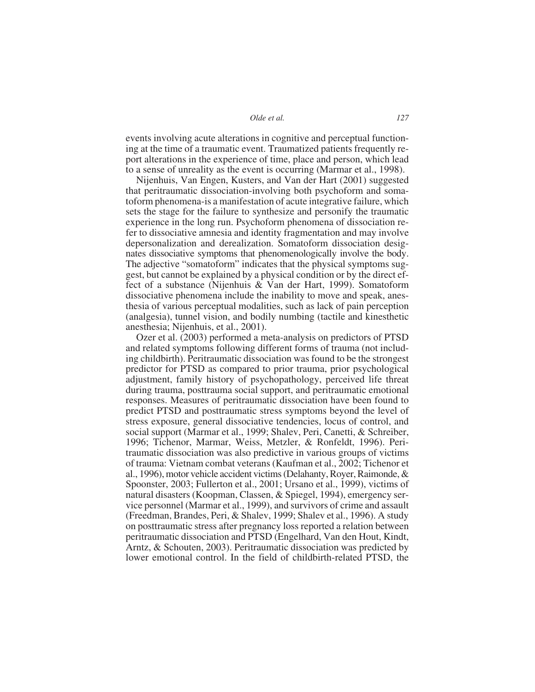events involving acute alterations in cognitive and perceptual functioning at the time of a traumatic event. Traumatized patients frequently report alterations in the experience of time, place and person, which lead to a sense of unreality as the event is occurring (Marmar et al., 1998).

Nijenhuis, Van Engen, Kusters, and Van der Hart (2001) suggested that peritraumatic dissociation-involving both psychoform and somatoform phenomena-is a manifestation of acute integrative failure, which sets the stage for the failure to synthesize and personify the traumatic experience in the long run. Psychoform phenomena of dissociation refer to dissociative amnesia and identity fragmentation and may involve depersonalization and derealization. Somatoform dissociation designates dissociative symptoms that phenomenologically involve the body. The adjective "somatoform" indicates that the physical symptoms suggest, but cannot be explained by a physical condition or by the direct effect of a substance (Nijenhuis & Van der Hart, 1999). Somatoform dissociative phenomena include the inability to move and speak, anesthesia of various perceptual modalities, such as lack of pain perception (analgesia), tunnel vision, and bodily numbing (tactile and kinesthetic anesthesia; Nijenhuis, et al., 2001).

Ozer et al. (2003) performed a meta-analysis on predictors of PTSD and related symptoms following different forms of trauma (not including childbirth). Peritraumatic dissociation was found to be the strongest predictor for PTSD as compared to prior trauma, prior psychological adjustment, family history of psychopathology, perceived life threat during trauma, posttrauma social support, and peritraumatic emotional responses. Measures of peritraumatic dissociation have been found to predict PTSD and posttraumatic stress symptoms beyond the level of stress exposure, general dissociative tendencies, locus of control, and social support (Marmar et al., 1999; Shalev, Peri, Canetti, & Schreiber, 1996; Tichenor, Marmar, Weiss, Metzler, & Ronfeldt, 1996). Peritraumatic dissociation was also predictive in various groups of victims of trauma: Vietnam combat veterans (Kaufman et al., 2002; Tichenor et al., 1996), motor vehicle accident victims (Delahanty, Royer, Raimonde, & Spoonster, 2003; Fullerton et al., 2001; Ursano et al., 1999), victims of natural disasters (Koopman, Classen, & Spiegel, 1994), emergency service personnel (Marmar et al., 1999), and survivors of crime and assault (Freedman, Brandes, Peri, & Shalev, 1999; Shalev et al., 1996). A study on posttraumatic stress after pregnancy loss reported a relation between peritraumatic dissociation and PTSD (Engelhard, Van den Hout, Kindt, Arntz, & Schouten, 2003). Peritraumatic dissociation was predicted by lower emotional control. In the field of childbirth-related PTSD, the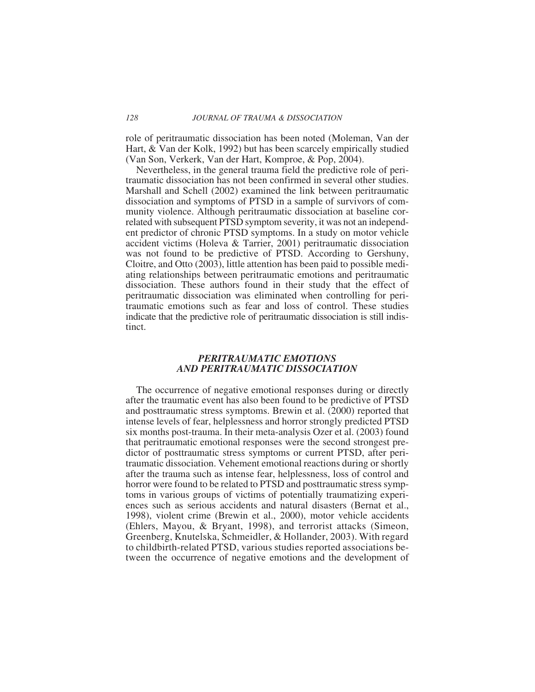role of peritraumatic dissociation has been noted (Moleman, Van der Hart, & Van der Kolk, 1992) but has been scarcely empirically studied (Van Son, Verkerk, Van der Hart, Komproe, & Pop, 2004).

Nevertheless, in the general trauma field the predictive role of peritraumatic dissociation has not been confirmed in several other studies. Marshall and Schell (2002) examined the link between peritraumatic dissociation and symptoms of PTSD in a sample of survivors of community violence. Although peritraumatic dissociation at baseline correlated with subsequent PTSD symptom severity, it was not an independent predictor of chronic PTSD symptoms. In a study on motor vehicle accident victims (Holeva & Tarrier, 2001) peritraumatic dissociation was not found to be predictive of PTSD. According to Gershuny, Cloitre, and Otto (2003), little attention has been paid to possible mediating relationships between peritraumatic emotions and peritraumatic dissociation. These authors found in their study that the effect of peritraumatic dissociation was eliminated when controlling for peritraumatic emotions such as fear and loss of control. These studies indicate that the predictive role of peritraumatic dissociation is still indistinct.

## *PERITRAUMATIC EMOTIONS AND PERITRAUMATIC DISSOCIATION*

The occurrence of negative emotional responses during or directly after the traumatic event has also been found to be predictive of PTSD and posttraumatic stress symptoms. Brewin et al. (2000) reported that intense levels of fear, helplessness and horror strongly predicted PTSD six months post-trauma. In their meta-analysis Ozer et al. (2003) found that peritraumatic emotional responses were the second strongest predictor of posttraumatic stress symptoms or current PTSD, after peritraumatic dissociation. Vehement emotional reactions during or shortly after the trauma such as intense fear, helplessness, loss of control and horror were found to be related to PTSD and posttraumatic stress symptoms in various groups of victims of potentially traumatizing experiences such as serious accidents and natural disasters (Bernat et al., 1998), violent crime (Brewin et al., 2000), motor vehicle accidents (Ehlers, Mayou, & Bryant, 1998), and terrorist attacks (Simeon, Greenberg, Knutelska, Schmeidler, & Hollander, 2003). With regard to childbirth-related PTSD, various studies reported associations between the occurrence of negative emotions and the development of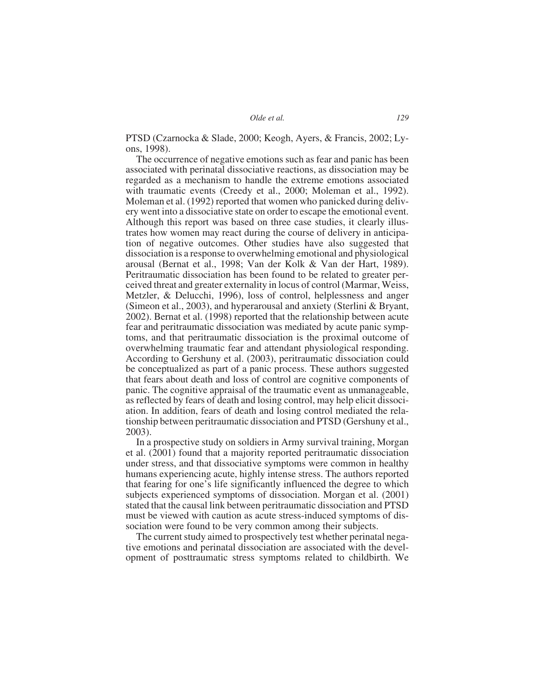PTSD (Czarnocka & Slade, 2000; Keogh, Ayers, & Francis, 2002; Lyons, 1998).

The occurrence of negative emotions such as fear and panic has been associated with perinatal dissociative reactions, as dissociation may be regarded as a mechanism to handle the extreme emotions associated with traumatic events (Creedy et al., 2000; Moleman et al., 1992). Moleman et al. (1992) reported that women who panicked during delivery went into a dissociative state on order to escape the emotional event. Although this report was based on three case studies, it clearly illustrates how women may react during the course of delivery in anticipation of negative outcomes. Other studies have also suggested that dissociation is a response to overwhelming emotional and physiological arousal (Bernat et al., 1998; Van der Kolk & Van der Hart, 1989). Peritraumatic dissociation has been found to be related to greater perceived threat and greater externality in locus of control (Marmar, Weiss, Metzler, & Delucchi, 1996), loss of control, helplessness and anger (Simeon et al., 2003), and hyperarousal and anxiety (Sterlini & Bryant, 2002). Bernat et al. (1998) reported that the relationship between acute fear and peritraumatic dissociation was mediated by acute panic symptoms, and that peritraumatic dissociation is the proximal outcome of overwhelming traumatic fear and attendant physiological responding. According to Gershuny et al. (2003), peritraumatic dissociation could be conceptualized as part of a panic process. These authors suggested that fears about death and loss of control are cognitive components of panic. The cognitive appraisal of the traumatic event as unmanageable, as reflected by fears of death and losing control, may help elicit dissociation. In addition, fears of death and losing control mediated the relationship between peritraumatic dissociation and PTSD (Gershuny et al., 2003).

In a prospective study on soldiers in Army survival training, Morgan et al. (2001) found that a majority reported peritraumatic dissociation under stress, and that dissociative symptoms were common in healthy humans experiencing acute, highly intense stress. The authors reported that fearing for one's life significantly influenced the degree to which subjects experienced symptoms of dissociation. Morgan et al. (2001) stated that the causal link between peritraumatic dissociation and PTSD must be viewed with caution as acute stress-induced symptoms of dissociation were found to be very common among their subjects.

The current study aimed to prospectively test whether perinatal negative emotions and perinatal dissociation are associated with the development of posttraumatic stress symptoms related to childbirth. We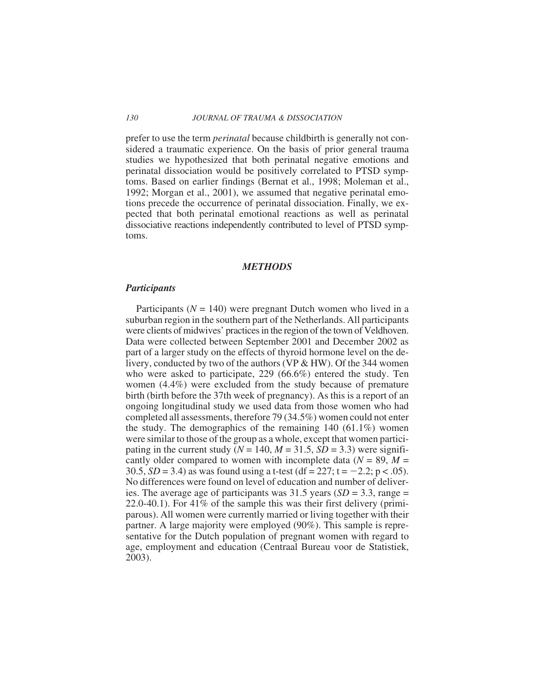prefer to use the term *perinatal* because childbirth is generally not considered a traumatic experience. On the basis of prior general trauma studies we hypothesized that both perinatal negative emotions and perinatal dissociation would be positively correlated to PTSD symptoms. Based on earlier findings (Bernat et al., 1998; Moleman et al., 1992; Morgan et al., 2001), we assumed that negative perinatal emotions precede the occurrence of perinatal dissociation. Finally, we expected that both perinatal emotional reactions as well as perinatal dissociative reactions independently contributed to level of PTSD symptoms.

## *METHODS*

## *Participants*

Participants  $(N = 140)$  were pregnant Dutch women who lived in a suburban region in the southern part of the Netherlands. All participants were clients of midwives' practices in the region of the town of Veldhoven. Data were collected between September 2001 and December 2002 as part of a larger study on the effects of thyroid hormone level on the delivery, conducted by two of the authors (VP & HW). Of the 344 women who were asked to participate, 229 (66.6%) entered the study. Ten women (4.4%) were excluded from the study because of premature birth (birth before the 37th week of pregnancy). As this is a report of an ongoing longitudinal study we used data from those women who had completed all assessments, therefore 79 (34.5%) women could not enter the study. The demographics of the remaining  $140 (61.1\%)$  women were similar to those of the group as a whole, except that women participating in the current study ( $N = 140$ ,  $M = 31.5$ ,  $SD = 3.3$ ) were significantly older compared to women with incomplete data  $(N = 89, M = 10)$ 30.5, *SD* = 3.4) as was found using a t-test (df = 227; t =  $-2.2$ ; p < .05). No differences were found on level of education and number of deliveries. The average age of participants was 31.5 years (*SD* = 3.3, range = 22.0-40.1). For 41% of the sample this was their first delivery (primiparous). All women were currently married or living together with their partner. A large majority were employed (90%). This sample is representative for the Dutch population of pregnant women with regard to age, employment and education (Centraal Bureau voor de Statistiek, 2003).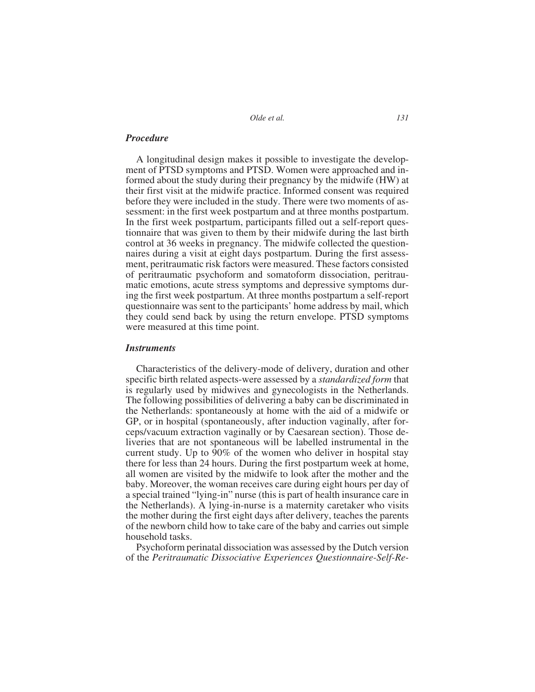## *Procedure*

A longitudinal design makes it possible to investigate the development of PTSD symptoms and PTSD. Women were approached and informed about the study during their pregnancy by the midwife (HW) at their first visit at the midwife practice. Informed consent was required before they were included in the study. There were two moments of assessment: in the first week postpartum and at three months postpartum. In the first week postpartum, participants filled out a self-report questionnaire that was given to them by their midwife during the last birth control at 36 weeks in pregnancy. The midwife collected the questionnaires during a visit at eight days postpartum. During the first assessment, peritraumatic risk factors were measured. These factors consisted of peritraumatic psychoform and somatoform dissociation, peritraumatic emotions, acute stress symptoms and depressive symptoms during the first week postpartum. At three months postpartum a self-report questionnaire was sent to the participants' home address by mail, which they could send back by using the return envelope. PTSD symptoms were measured at this time point.

#### *Instruments*

Characteristics of the delivery-mode of delivery, duration and other specific birth related aspects-were assessed by a *standardized form* that is regularly used by midwives and gynecologists in the Netherlands. The following possibilities of delivering a baby can be discriminated in the Netherlands: spontaneously at home with the aid of a midwife or GP, or in hospital (spontaneously, after induction vaginally, after forceps/vacuum extraction vaginally or by Caesarean section). Those deliveries that are not spontaneous will be labelled instrumental in the current study. Up to 90% of the women who deliver in hospital stay there for less than 24 hours. During the first postpartum week at home, all women are visited by the midwife to look after the mother and the baby. Moreover, the woman receives care during eight hours per day of a special trained "lying-in" nurse (this is part of health insurance care in the Netherlands). A lying-in-nurse is a maternity caretaker who visits the mother during the first eight days after delivery, teaches the parents of the newborn child how to take care of the baby and carries out simple household tasks.

Psychoform perinatal dissociation was assessed by the Dutch version of the *Peritraumatic Dissociative Experiences Questionnaire-Self-Re-*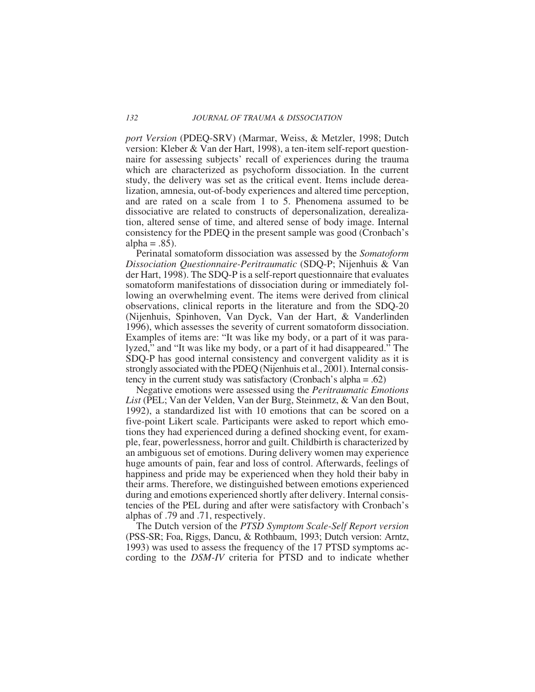*port Version* (PDEQ-SRV) (Marmar, Weiss, & Metzler, 1998; Dutch version: Kleber & Van der Hart, 1998), a ten-item self-report questionnaire for assessing subjects' recall of experiences during the trauma which are characterized as psychoform dissociation. In the current study, the delivery was set as the critical event. Items include derealization, amnesia, out-of-body experiences and altered time perception, and are rated on a scale from 1 to 5. Phenomena assumed to be dissociative are related to constructs of depersonalization, derealization, altered sense of time, and altered sense of body image. Internal consistency for the PDEQ in the present sample was good (Cronbach's alpha  $= .85$ ).

Perinatal somatoform dissociation was assessed by the *Somatoform Dissociation Questionnaire-Peritraumatic* (SDQ-P; Nijenhuis & Van der Hart, 1998). The SDQ-P is a self-report questionnaire that evaluates somatoform manifestations of dissociation during or immediately following an overwhelming event. The items were derived from clinical observations, clinical reports in the literature and from the SDQ-20 (Nijenhuis, Spinhoven, Van Dyck, Van der Hart, & Vanderlinden 1996), which assesses the severity of current somatoform dissociation. Examples of items are: "It was like my body, or a part of it was paralyzed," and "It was like my body, or a part of it had disappeared." The SDQ-P has good internal consistency and convergent validity as it is strongly associated with the PDEQ (Nijenhuis et al., 2001). Internal consistency in the current study was satisfactory (Cronbach's alpha = .62)

Negative emotions were assessed using the *Peritraumatic Emotions List* (PEL; Van der Velden, Van der Burg, Steinmetz, & Van den Bout, 1992), a standardized list with 10 emotions that can be scored on a five-point Likert scale. Participants were asked to report which emotions they had experienced during a defined shocking event, for example, fear, powerlessness, horror and guilt. Childbirth is characterized by an ambiguous set of emotions. During delivery women may experience huge amounts of pain, fear and loss of control. Afterwards, feelings of happiness and pride may be experienced when they hold their baby in their arms. Therefore, we distinguished between emotions experienced during and emotions experienced shortly after delivery. Internal consistencies of the PEL during and after were satisfactory with Cronbach's alphas of .79 and .71, respectively.

The Dutch version of the *PTSD Symptom Scale-Self Report version* (PSS-SR; Foa, Riggs, Dancu, & Rothbaum, 1993; Dutch version: Arntz, 1993) was used to assess the frequency of the 17 PTSD symptoms according to the *DSM-IV* criteria for PTSD and to indicate whether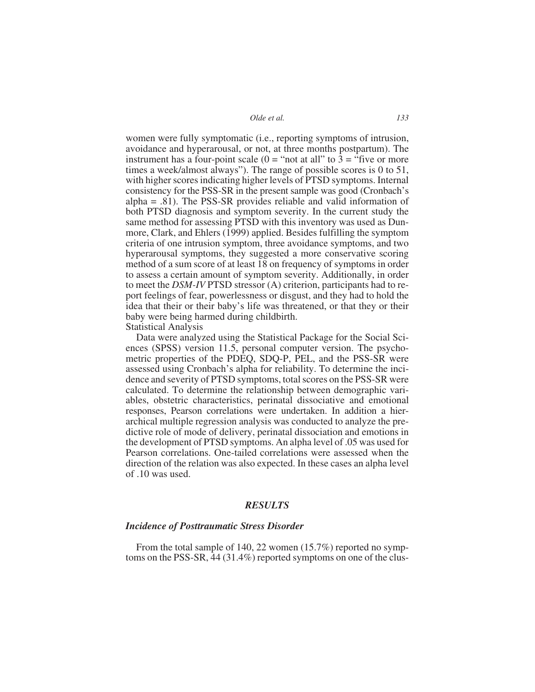women were fully symptomatic (i.e., reporting symptoms of intrusion, avoidance and hyperarousal, or not, at three months postpartum). The instrument has a four-point scale  $(0 = "not at all" to 3 = "five or more$ times a week/almost always"). The range of possible scores is 0 to 51, with higher scores indicating higher levels of PTSD symptoms. Internal consistency for the PSS-SR in the present sample was good (Cronbach's alpha = .81). The PSS-SR provides reliable and valid information of both PTSD diagnosis and symptom severity. In the current study the same method for assessing PTSD with this inventory was used as Dunmore, Clark, and Ehlers (1999) applied. Besides fulfilling the symptom criteria of one intrusion symptom, three avoidance symptoms, and two hyperarousal symptoms, they suggested a more conservative scoring method of a sum score of at least 18 on frequency of symptoms in order to assess a certain amount of symptom severity. Additionally, in order to meet the *DSM-IV* PTSD stressor (A) criterion, participants had to report feelings of fear, powerlessness or disgust, and they had to hold the idea that their or their baby's life was threatened, or that they or their baby were being harmed during childbirth. Statistical Analysis

Data were analyzed using the Statistical Package for the Social Sciences (SPSS) version 11.5, personal computer version. The psychometric properties of the PDEQ, SDQ-P, PEL, and the PSS-SR were assessed using Cronbach's alpha for reliability. To determine the incidence and severity of PTSD symptoms, total scores on the PSS-SR were calculated. To determine the relationship between demographic variables, obstetric characteristics, perinatal dissociative and emotional responses, Pearson correlations were undertaken. In addition a hierarchical multiple regression analysis was conducted to analyze the predictive role of mode of delivery, perinatal dissociation and emotions in the development of PTSD symptoms. An alpha level of .05 was used for Pearson correlations. One-tailed correlations were assessed when the direction of the relation was also expected. In these cases an alpha level of .10 was used.

## *RESULTS*

## *Incidence of Posttraumatic Stress Disorder*

From the total sample of 140, 22 women (15.7%) reported no symptoms on the PSS-SR, 44 (31.4%) reported symptoms on one of the clus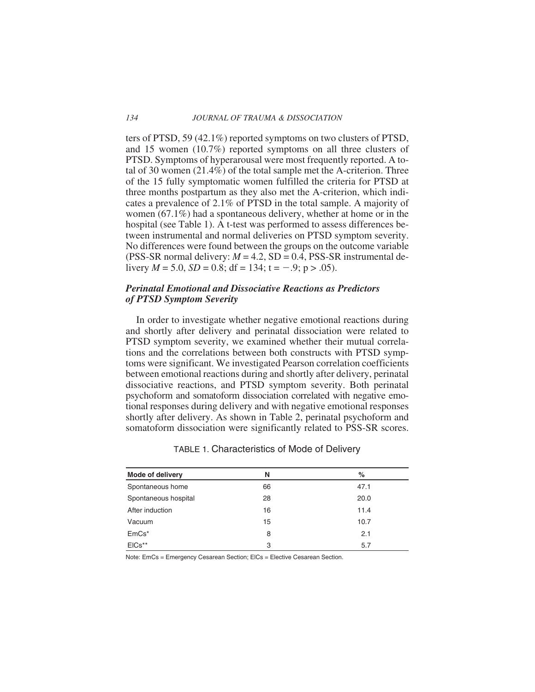ters of PTSD, 59 (42.1%) reported symptoms on two clusters of PTSD, and 15 women (10.7%) reported symptoms on all three clusters of PTSD. Symptoms of hyperarousal were most frequently reported. A total of 30 women (21.4%) of the total sample met the A-criterion. Three of the 15 fully symptomatic women fulfilled the criteria for PTSD at three months postpartum as they also met the A-criterion, which indicates a prevalence of 2.1% of PTSD in the total sample. A majority of women (67.1%) had a spontaneous delivery, whether at home or in the hospital (see Table 1). A t-test was performed to assess differences between instrumental and normal deliveries on PTSD symptom severity. No differences were found between the groups on the outcome variable (PSS-SR normal delivery:  $M = 4.2$ , SD = 0.4, PSS-SR instrumental delivery  $M = 5.0$ ,  $SD = 0.8$ ; df = 134; t = -.9; p > .05).

# *Perinatal Emotional and Dissociative Reactions as Predictors of PTSD Symptom Severity*

In order to investigate whether negative emotional reactions during and shortly after delivery and perinatal dissociation were related to PTSD symptom severity, we examined whether their mutual correlations and the correlations between both constructs with PTSD symptoms were significant. We investigated Pearson correlation coefficients between emotional reactions during and shortly after delivery, perinatal dissociative reactions, and PTSD symptom severity. Both perinatal psychoform and somatoform dissociation correlated with negative emotional responses during delivery and with negative emotional responses shortly after delivery. As shown in Table 2, perinatal psychoform and somatoform dissociation were significantly related to PSS-SR scores.

| Mode of delivery     | N  | %    |
|----------------------|----|------|
| Spontaneous home     | 66 | 47.1 |
| Spontaneous hospital | 28 | 20.0 |
| After induction      | 16 | 11.4 |
| Vacuum               | 15 | 10.7 |
| $EmCs*$              | 8  | 2.1  |
| $EICs**$             | 3  | 5.7  |

## TABLE 1. Characteristics of Mode of Delivery

Note: EmCs = Emergency Cesarean Section; ElCs = Elective Cesarean Section.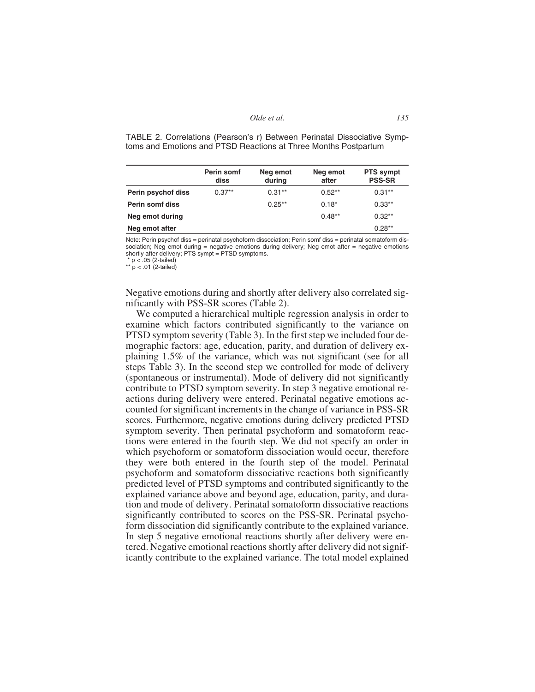| 135<br>Olde et al. |  |  |
|--------------------|--|--|
|--------------------|--|--|

|                    | Perin somf<br>diss | Neg emot<br>during | Neg emot<br>after | <b>PTS</b> sympt<br><b>PSS-SR</b> |
|--------------------|--------------------|--------------------|-------------------|-----------------------------------|
| Perin psychof diss | $0.37**$           | $0.31***$          | $0.52**$          | $0.31**$                          |
| Perin somf diss    |                    | $0.25***$          | $0.18*$           | $0.33**$                          |
| Neg emot during    |                    |                    | $0.48**$          | $0.32**$                          |
| Neg emot after     |                    |                    |                   | $0.28**$                          |

TABLE 2. Correlations (Pearson's r) Between Perinatal Dissociative Symptoms and Emotions and PTSD Reactions at Three Months Postpartum

Note: Perin psychof diss = perinatal psychoform dissociation; Perin somf diss = perinatal somatoform dissociation; Neg emot during = negative emotions during delivery; Neg emot after = negative emotions shortly after delivery; PTS sympt = PTSD symptoms.

\* p < .05 (2-tailed)

\*\* p < .01 (2-tailed)

Negative emotions during and shortly after delivery also correlated significantly with PSS-SR scores (Table 2).

We computed a hierarchical multiple regression analysis in order to examine which factors contributed significantly to the variance on PTSD symptom severity (Table 3). In the first step we included four demographic factors: age, education, parity, and duration of delivery explaining 1.5% of the variance, which was not significant (see for all steps Table 3). In the second step we controlled for mode of delivery (spontaneous or instrumental). Mode of delivery did not significantly contribute to PTSD symptom severity. In step 3 negative emotional reactions during delivery were entered. Perinatal negative emotions accounted for significant increments in the change of variance in PSS-SR scores. Furthermore, negative emotions during delivery predicted PTSD symptom severity. Then perinatal psychoform and somatoform reactions were entered in the fourth step. We did not specify an order in which psychoform or somatoform dissociation would occur, therefore they were both entered in the fourth step of the model. Perinatal psychoform and somatoform dissociative reactions both significantly predicted level of PTSD symptoms and contributed significantly to the explained variance above and beyond age, education, parity, and duration and mode of delivery. Perinatal somatoform dissociative reactions significantly contributed to scores on the PSS-SR. Perinatal psychoform dissociation did significantly contribute to the explained variance. In step 5 negative emotional reactions shortly after delivery were entered. Negative emotional reactions shortly after delivery did not significantly contribute to the explained variance. The total model explained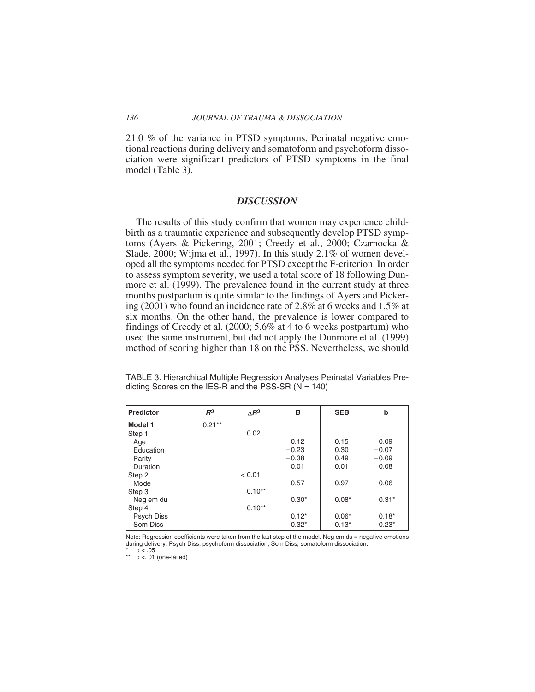21.0 % of the variance in PTSD symptoms. Perinatal negative emotional reactions during delivery and somatoform and psychoform dissociation were significant predictors of PTSD symptoms in the final model (Table 3).

# *DISCUSSION*

The results of this study confirm that women may experience childbirth as a traumatic experience and subsequently develop PTSD symptoms (Ayers & Pickering, 2001; Creedy et al., 2000; Czarnocka & Slade, 2000; Wijma et al., 1997). In this study 2.1% of women developed all the symptoms needed for PTSD except the F-criterion. In order to assess symptom severity, we used a total score of 18 following Dunmore et al. (1999). The prevalence found in the current study at three months postpartum is quite similar to the findings of Ayers and Pickering (2001) who found an incidence rate of 2.8% at 6 weeks and 1.5% at six months. On the other hand, the prevalence is lower compared to findings of Creedy et al. (2000; 5.6% at 4 to 6 weeks postpartum) who used the same instrument, but did not apply the Dunmore et al. (1999) method of scoring higher than 18 on the PSS. Nevertheless, we should

| TABLE 3. Hierarchical Multiple Regression Analyses Perinatal Variables Pre- |  |
|-----------------------------------------------------------------------------|--|
| dicting Scores on the IES-R and the PSS-SR ( $N = 140$ )                    |  |

| <b>Predictor</b> | R <sup>2</sup> | $\triangle$ R <sup>2</sup> | в       | <b>SEB</b> | b       |
|------------------|----------------|----------------------------|---------|------------|---------|
| Model 1          | $0.21**$       |                            |         |            |         |
| Step 1           |                | 0.02                       |         |            |         |
| Age              |                |                            | 0.12    | 0.15       | 0.09    |
| Education        |                |                            | $-0.23$ | 0.30       | $-0.07$ |
| Parity           |                |                            | $-0.38$ | 0.49       | $-0.09$ |
| Duration         |                |                            | 0.01    | 0.01       | 0.08    |
| Step 2           |                | < 0.01                     |         |            |         |
| Mode             |                |                            | 0.57    | 0.97       | 0.06    |
| Step 3           |                | $0.10**$                   |         |            |         |
| Neg em du        |                |                            | $0.30*$ | $0.08*$    | $0.31*$ |
| Step 4           |                | $0.10**$                   |         |            |         |
| Psych Diss       |                |                            | $0.12*$ | $0.06*$    | $0.18*$ |
| Som Diss         |                |                            | $0.32*$ | $0.13*$    | $0.23*$ |

Note: Regression coefficients were taken from the last step of the model. Neg em du = negative emotions during delivery; Psych Diss, psychoform dissociation; Som Diss, somatoform dissociation.

\* p < .05 \*\* p <. 01 (one-tailed)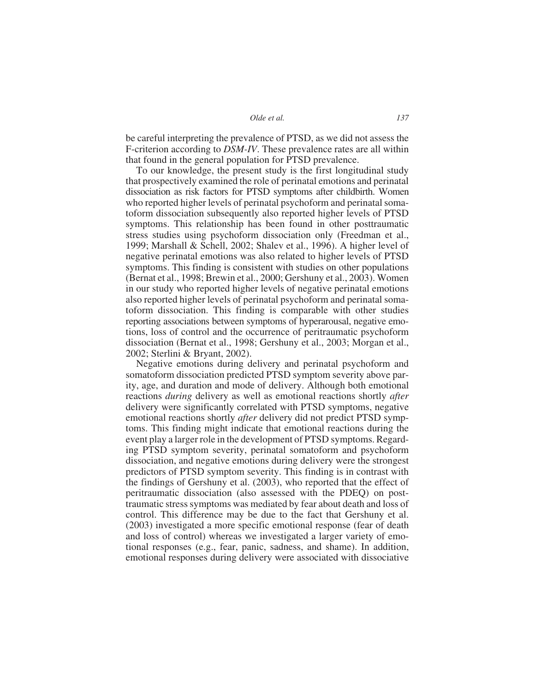be careful interpreting the prevalence of PTSD, as we did not assess the F-criterion according to *DSM-IV*. These prevalence rates are all within that found in the general population for PTSD prevalence.

To our knowledge, the present study is the first longitudinal study that prospectively examined the role of perinatal emotions and perinatal dissociation as risk factors for PTSD symptoms after childbirth. Women who reported higher levels of perinatal psychoform and perinatal somatoform dissociation subsequently also reported higher levels of PTSD symptoms. This relationship has been found in other posttraumatic stress studies using psychoform dissociation only (Freedman et al., 1999; Marshall & Schell, 2002; Shalev et al., 1996). A higher level of negative perinatal emotions was also related to higher levels of PTSD symptoms. This finding is consistent with studies on other populations (Bernat et al., 1998; Brewin et al., 2000; Gershuny et al., 2003). Women in our study who reported higher levels of negative perinatal emotions also reported higher levels of perinatal psychoform and perinatal somatoform dissociation. This finding is comparable with other studies reporting associations between symptoms of hyperarousal, negative emotions, loss of control and the occurrence of peritraumatic psychoform dissociation (Bernat et al., 1998; Gershuny et al., 2003; Morgan et al., 2002; Sterlini & Bryant, 2002).

Negative emotions during delivery and perinatal psychoform and somatoform dissociation predicted PTSD symptom severity above parity, age, and duration and mode of delivery. Although both emotional reactions *during* delivery as well as emotional reactions shortly *after* delivery were significantly correlated with PTSD symptoms, negative emotional reactions shortly *after* delivery did not predict PTSD symptoms. This finding might indicate that emotional reactions during the event play a larger role in the development of PTSD symptoms. Regarding PTSD symptom severity, perinatal somatoform and psychoform dissociation, and negative emotions during delivery were the strongest predictors of PTSD symptom severity. This finding is in contrast with the findings of Gershuny et al. (2003), who reported that the effect of peritraumatic dissociation (also assessed with the PDEQ) on posttraumatic stress symptoms was mediated by fear about death and loss of control. This difference may be due to the fact that Gershuny et al. (2003) investigated a more specific emotional response (fear of death and loss of control) whereas we investigated a larger variety of emotional responses (e.g., fear, panic, sadness, and shame). In addition, emotional responses during delivery were associated with dissociative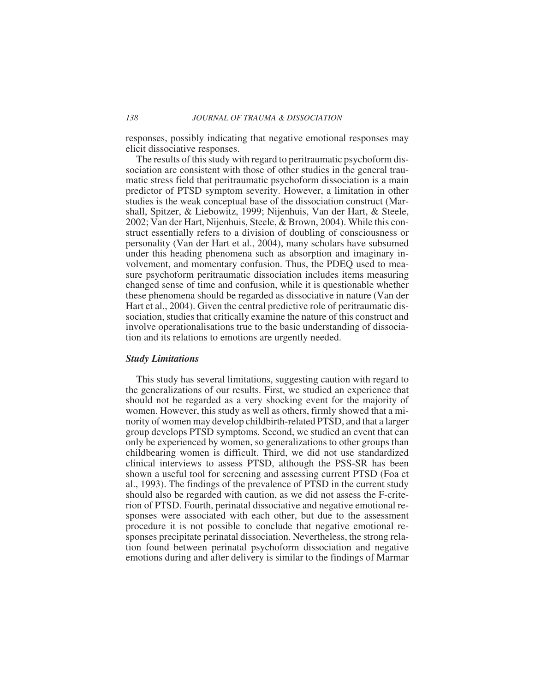responses, possibly indicating that negative emotional responses may elicit dissociative responses.

The results of this study with regard to peritraumatic psychoform dissociation are consistent with those of other studies in the general traumatic stress field that peritraumatic psychoform dissociation is a main predictor of PTSD symptom severity. However, a limitation in other studies is the weak conceptual base of the dissociation construct (Marshall, Spitzer, & Liebowitz, 1999; Nijenhuis, Van der Hart, & Steele, 2002; Van der Hart, Nijenhuis, Steele, & Brown, 2004). While this construct essentially refers to a division of doubling of consciousness or personality (Van der Hart et al., 2004), many scholars have subsumed under this heading phenomena such as absorption and imaginary involvement, and momentary confusion. Thus, the PDEQ used to measure psychoform peritraumatic dissociation includes items measuring changed sense of time and confusion, while it is questionable whether these phenomena should be regarded as dissociative in nature (Van der Hart et al., 2004). Given the central predictive role of peritraumatic dissociation, studies that critically examine the nature of this construct and involve operationalisations true to the basic understanding of dissociation and its relations to emotions are urgently needed.

## *Study Limitations*

This study has several limitations, suggesting caution with regard to the generalizations of our results. First, we studied an experience that should not be regarded as a very shocking event for the majority of women. However, this study as well as others, firmly showed that a minority of women may develop childbirth-related PTSD, and that a larger group develops PTSD symptoms. Second, we studied an event that can only be experienced by women, so generalizations to other groups than childbearing women is difficult. Third, we did not use standardized clinical interviews to assess PTSD, although the PSS-SR has been shown a useful tool for screening and assessing current PTSD (Foa et al., 1993). The findings of the prevalence of PTSD in the current study should also be regarded with caution, as we did not assess the F-criterion of PTSD. Fourth, perinatal dissociative and negative emotional responses were associated with each other, but due to the assessment procedure it is not possible to conclude that negative emotional responses precipitate perinatal dissociation. Nevertheless, the strong relation found between perinatal psychoform dissociation and negative emotions during and after delivery is similar to the findings of Marmar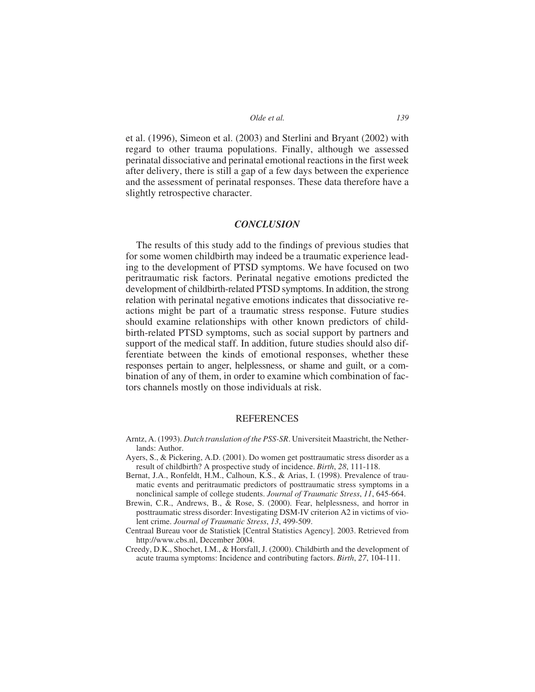et al. (1996), Simeon et al. (2003) and Sterlini and Bryant (2002) with regard to other trauma populations. Finally, although we assessed perinatal dissociative and perinatal emotional reactions in the first week after delivery, there is still a gap of a few days between the experience and the assessment of perinatal responses. These data therefore have a slightly retrospective character.

#### *CONCLUSION*

The results of this study add to the findings of previous studies that for some women childbirth may indeed be a traumatic experience leading to the development of PTSD symptoms. We have focused on two peritraumatic risk factors. Perinatal negative emotions predicted the development of childbirth-related PTSD symptoms. In addition, the strong relation with perinatal negative emotions indicates that dissociative reactions might be part of a traumatic stress response. Future studies should examine relationships with other known predictors of childbirth-related PTSD symptoms, such as social support by partners and support of the medical staff. In addition, future studies should also differentiate between the kinds of emotional responses, whether these responses pertain to anger, helplessness, or shame and guilt, or a combination of any of them, in order to examine which combination of factors channels mostly on those individuals at risk.

## REFERENCES

- Arntz, A. (1993). *Dutch translation of the PSS-SR*. Universiteit Maastricht, the Netherlands: Author.
- Ayers, S., & Pickering, A.D. (2001). Do women get posttraumatic stress disorder as a result of childbirth? A prospective study of incidence. *Birth*, *28*, 111-118.
- Bernat, J.A., Ronfeldt, H.M., Calhoun, K.S., & Arias, I. (1998). Prevalence of traumatic events and peritraumatic predictors of posttraumatic stress symptoms in a nonclinical sample of college students. *Journal of Traumatic Stress*, *11*, 645-664.
- Brewin, C.R., Andrews, B., & Rose, S. (2000). Fear, helplessness, and horror in posttraumatic stress disorder: Investigating DSM-IV criterion A2 in victims of violent crime. *Journal of Traumatic Stress*, *13*, 499-509.
- Centraal Bureau voor de Statistiek [Central Statistics Agency]. 2003. Retrieved from http://www.cbs.nl, December 2004.
- Creedy, D.K., Shochet, I.M., & Horsfall, J. (2000). Childbirth and the development of acute trauma symptoms: Incidence and contributing factors. *Birth*, *27*, 104-111.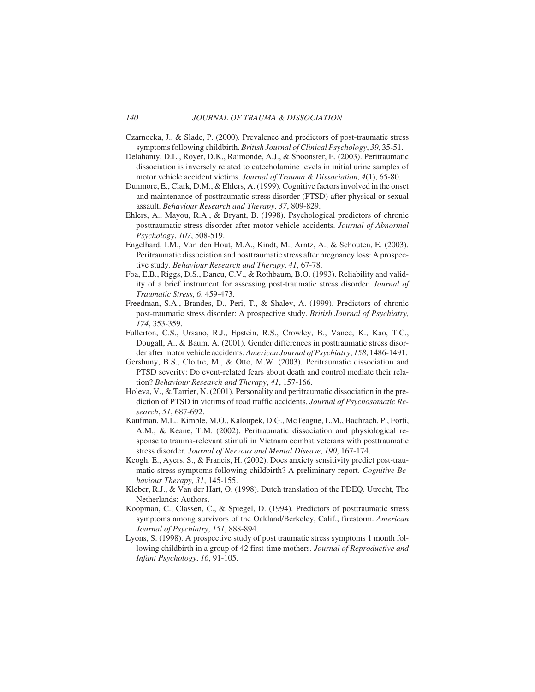- Czarnocka, J., & Slade, P. (2000). Prevalence and predictors of post-traumatic stress symptoms following childbirth. *British Journal of Clinical Psychology*, *39*, 35-51.
- Delahanty, D.L., Royer, D.K., Raimonde, A.J., & Spoonster, E. (2003). Peritraumatic dissociation is inversely related to catecholamine levels in initial urine samples of motor vehicle accident victims. *Journal of Trauma & Dissociation*, *4*(1), 65-80.
- Dunmore, E., Clark, D.M., & Ehlers, A. (1999). Cognitive factors involved in the onset and maintenance of posttraumatic stress disorder (PTSD) after physical or sexual assault. *Behaviour Research and Therapy*, *37*, 809-829.
- Ehlers, A., Mayou, R.A., & Bryant, B. (1998). Psychological predictors of chronic posttraumatic stress disorder after motor vehicle accidents. *Journal of Abnormal Psychology*, *107*, 508-519.
- Engelhard, I.M., Van den Hout, M.A., Kindt, M., Arntz, A., & Schouten, E. (2003). Peritraumatic dissociation and posttraumatic stress after pregnancy loss: A prospective study. *Behaviour Research and Therapy*, *41*, 67-78.
- Foa, E.B., Riggs, D.S., Dancu, C.V., & Rothbaum, B.O. (1993). Reliability and validity of a brief instrument for assessing post-traumatic stress disorder. *Journal of Traumatic Stress*, *6*, 459-473.
- Freedman, S.A., Brandes, D., Peri, T., & Shalev, A. (1999). Predictors of chronic post-traumatic stress disorder: A prospective study. *British Journal of Psychiatry*, *174*, 353-359.
- Fullerton, C.S., Ursano, R.J., Epstein, R.S., Crowley, B., Vance, K., Kao, T.C., Dougall, A., & Baum, A. (2001). Gender differences in posttraumatic stress disorder after motor vehicle accidents. *American Journal of Psychiatry*, *158*, 1486-1491.
- Gershuny, B.S., Cloitre, M., & Otto, M.W. (2003). Peritraumatic dissociation and PTSD severity: Do event-related fears about death and control mediate their relation? *Behaviour Research and Therapy*, *41*, 157-166.
- Holeva, V., & Tarrier, N. (2001). Personality and peritraumatic dissociation in the prediction of PTSD in victims of road traffic accidents. *Journal of Psychosomatic Research*, *51*, 687-692.
- Kaufman, M.L., Kimble, M.O., Kaloupek, D.G., McTeague, L.M., Bachrach, P., Forti, A.M., & Keane, T.M. (2002). Peritraumatic dissociation and physiological response to trauma-relevant stimuli in Vietnam combat veterans with posttraumatic stress disorder. *Journal of Nervous and Mental Disease*, *190*, 167-174.
- Keogh, E., Ayers, S., & Francis, H. (2002). Does anxiety sensitivity predict post-traumatic stress symptoms following childbirth? A preliminary report. *Cognitive Behaviour Therapy*, *31*, 145-155.
- Kleber, R.J., & Van der Hart, O. (1998). Dutch translation of the PDEQ. Utrecht, The Netherlands: Authors.
- Koopman, C., Classen, C., & Spiegel, D. (1994). Predictors of posttraumatic stress symptoms among survivors of the Oakland/Berkeley, Calif., firestorm. *American Journal of Psychiatry*, *151*, 888-894.
- Lyons, S. (1998). A prospective study of post traumatic stress symptoms 1 month following childbirth in a group of 42 first-time mothers. *Journal of Reproductive and Infant Psychology*, *16*, 91-105.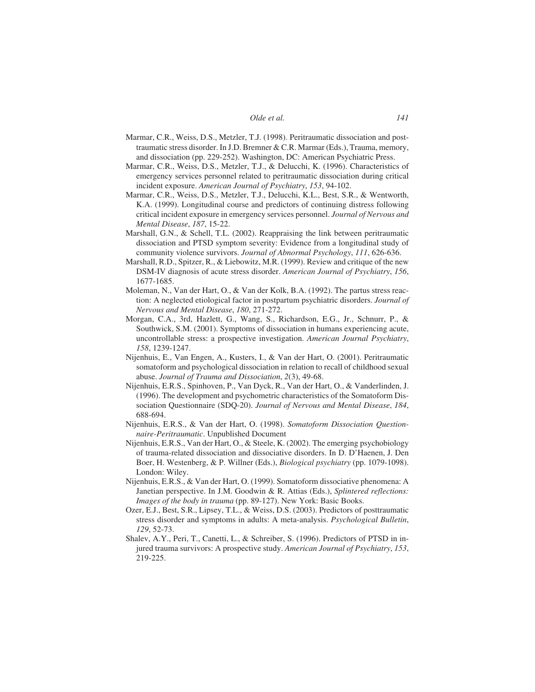- Marmar, C.R., Weiss, D.S., Metzler, T.J. (1998). Peritraumatic dissociation and posttraumatic stress disorder. In J.D. Bremner & C.R. Marmar (Eds.), Trauma, memory, and dissociation (pp. 229-252). Washington, DC: American Psychiatric Press.
- Marmar, C.R., Weiss, D.S., Metzler, T.J., & Delucchi, K. (1996). Characteristics of emergency services personnel related to peritraumatic dissociation during critical incident exposure. *American Journal of Psychiatry*, *153*, 94-102.
- Marmar, C.R., Weiss, D.S., Metzler, T.J., Delucchi, K.L., Best, S.R., & Wentworth, K.A. (1999). Longitudinal course and predictors of continuing distress following critical incident exposure in emergency services personnel. *Journal of Nervous and Mental Disease*, *187*, 15-22.
- Marshall, G.N., & Schell, T.L. (2002). Reappraising the link between peritraumatic dissociation and PTSD symptom severity: Evidence from a longitudinal study of community violence survivors. *Journal of Abnormal Psychology*, *111*, 626-636.
- Marshall, R.D., Spitzer, R., & Liebowitz, M.R. (1999). Review and critique of the new DSM-IV diagnosis of acute stress disorder. *American Journal of Psychiatry*, *156*, 1677-1685.
- Moleman, N., Van der Hart, O., & Van der Kolk, B.A. (1992). The partus stress reaction: A neglected etiological factor in postpartum psychiatric disorders. *Journal of Nervous and Mental Disease*, *180*, 271-272.
- Morgan, C.A., 3rd, Hazlett, G., Wang, S., Richardson, E.G., Jr., Schnurr, P., & Southwick, S.M. (2001). Symptoms of dissociation in humans experiencing acute, uncontrollable stress: a prospective investigation. *American Journal Psychiatry*, *158*, 1239-1247.
- Nijenhuis, E., Van Engen, A., Kusters, I., & Van der Hart, O. (2001). Peritraumatic somatoform and psychological dissociation in relation to recall of childhood sexual abuse. *Journal of Trauma and Dissociation*, *2*(3), 49-68.
- Nijenhuis, E.R.S., Spinhoven, P., Van Dyck, R., Van der Hart, O., & Vanderlinden, J. (1996). The development and psychometric characteristics of the Somatoform Dissociation Questionnaire (SDQ-20). *Journal of Nervous and Mental Disease*, *184*, 688-694.
- Nijenhuis, E.R.S., & Van der Hart, O. (1998). *Somatoform Dissociation Questionnaire-Peritraumatic*. Unpublished Document
- Nijenhuis, E.R.S., Van der Hart, O., & Steele, K. (2002). The emerging psychobiology of trauma-related dissociation and dissociative disorders. In D. D'Haenen, J. Den Boer, H. Westenberg, & P. Willner (Eds.), *Biological psychiatry* (pp. 1079-1098). London: Wiley.
- Nijenhuis, E.R.S., & Van der Hart, O. (1999). Somatoform dissociative phenomena: A Janetian perspective. In J.M. Goodwin & R. Attias (Eds.), *Splintered reflections: Images of the body in trauma* (pp. 89-127). New York: Basic Books.
- Ozer, E.J., Best, S.R., Lipsey, T.L., & Weiss, D.S. (2003). Predictors of posttraumatic stress disorder and symptoms in adults: A meta-analysis. *Psychological Bulletin*, *129*, 52-73.
- Shalev, A.Y., Peri, T., Canetti, L., & Schreiber, S. (1996). Predictors of PTSD in injured trauma survivors: A prospective study. *American Journal of Psychiatry*, *153*, 219-225.